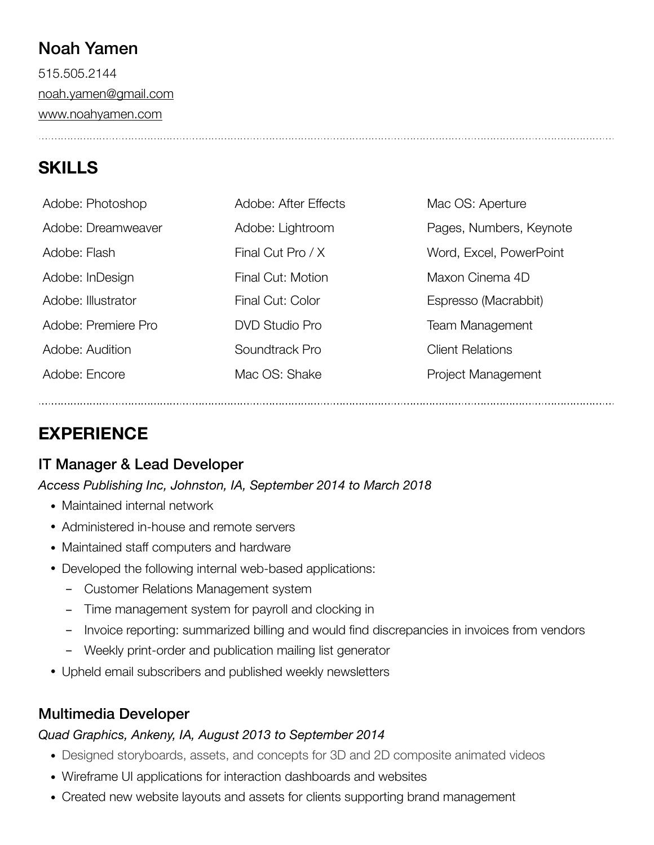# Noah Yamen

515.505.2144 [noah.yamen@gmail.com](mailto:noah.yamen@gmail.com) [www.noahyamen.com](http://www.noahyamen.com)

# **SKILLS**

| Adobe: Photoshop    | Adobe: After Effects  | Mac OS: Aperture        |
|---------------------|-----------------------|-------------------------|
| Adobe: Dreamweaver  | Adobe: Lightroom      | Pages, Numbers, Keynote |
| Adobe: Flash        | Final Cut Pro / X     | Word, Excel, PowerPoint |
| Adobe: InDesign     | Final Cut: Motion     | Maxon Cinema 4D         |
| Adobe: Illustrator  | Final Cut: Color      | Espresso (Macrabbit)    |
| Adobe: Premiere Pro | <b>DVD Studio Pro</b> | <b>Team Management</b>  |
| Adobe: Audition     | Soundtrack Pro        | <b>Client Relations</b> |
| Adobe: Encore       | Mac OS: Shake         | Project Management      |

# **EXPERIENCE**

# IT Manager & Lead Developer

*Access Publishing Inc, Johnston, IA, September 2014 to March 2018* 

- Maintained internal network
- Administered in-house and remote servers
- Maintained staff computers and hardware
- Developed the following internal web-based applications:
	- Customer Relations Management system
	- Time management system for payroll and clocking in
	- Invoice reporting: summarized billing and would find discrepancies in invoices from vendors
	- Weekly print-order and publication mailing list generator
- Upheld email subscribers and published weekly newsletters

# Multimedia Developer

### *Quad Graphics, Ankeny, IA, August 2013 to September 2014*

- Designed storyboards, assets, and concepts for 3D and 2D composite animated videos
- Wireframe UI applications for interaction dashboards and websites
- Created new website layouts and assets for clients supporting brand management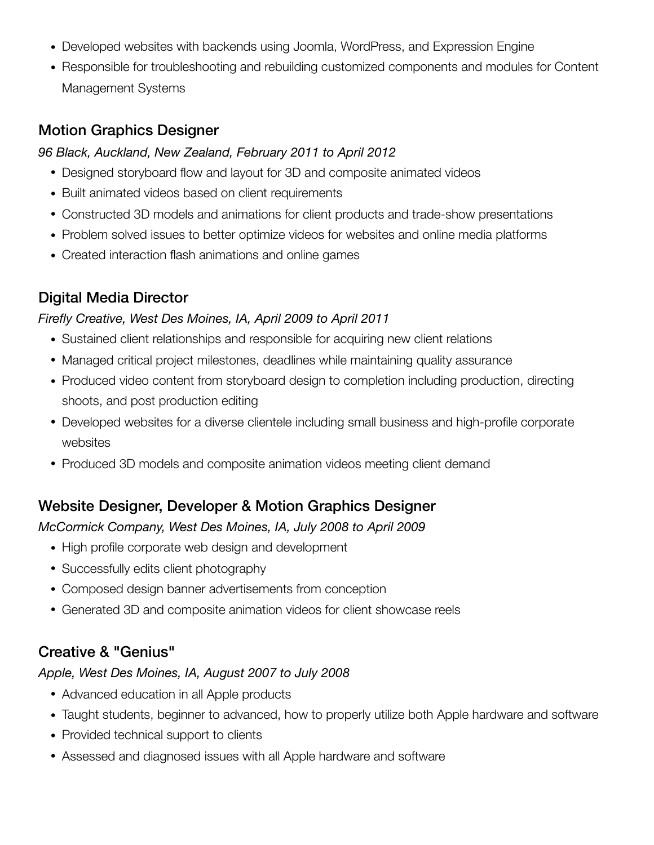- Developed websites with backends using Joomla, WordPress, and Expression Engine
- Responsible for troubleshooting and rebuilding customized components and modules for Content Management Systems

### Motion Graphics Designer

#### *96 Black, Auckland, New Zealand, February 2011 to April 2012*

- Designed storyboard flow and layout for 3D and composite animated videos
- Built animated videos based on client requirements
- Constructed 3D models and animations for client products and trade-show presentations
- Problem solved issues to better optimize videos for websites and online media platforms
- Created interaction flash animations and online games

## Digital Media Director

#### *Firefly Creative, West Des Moines, IA, April 2009 to April 2011*

- Sustained client relationships and responsible for acquiring new client relations
- Managed critical project milestones, deadlines while maintaining quality assurance
- Produced video content from storyboard design to completion including production, directing shoots, and post production editing
- Developed websites for a diverse clientele including small business and high-profile corporate websites
- Produced 3D models and composite animation videos meeting client demand

## Website Designer, Developer & Motion Graphics Designer

#### *McCormick Company, West Des Moines, IA, July 2008 to April 2009*

- High profile corporate web design and development
- Successfully edits client photography
- Composed design banner advertisements from conception
- Generated 3D and composite animation videos for client showcase reels

### Creative & "Genius"

#### *Apple, West Des Moines, IA, August 2007 to July 2008*

- Advanced education in all Apple products
- Taught students, beginner to advanced, how to properly utilize both Apple hardware and software
- Provided technical support to clients
- Assessed and diagnosed issues with all Apple hardware and software